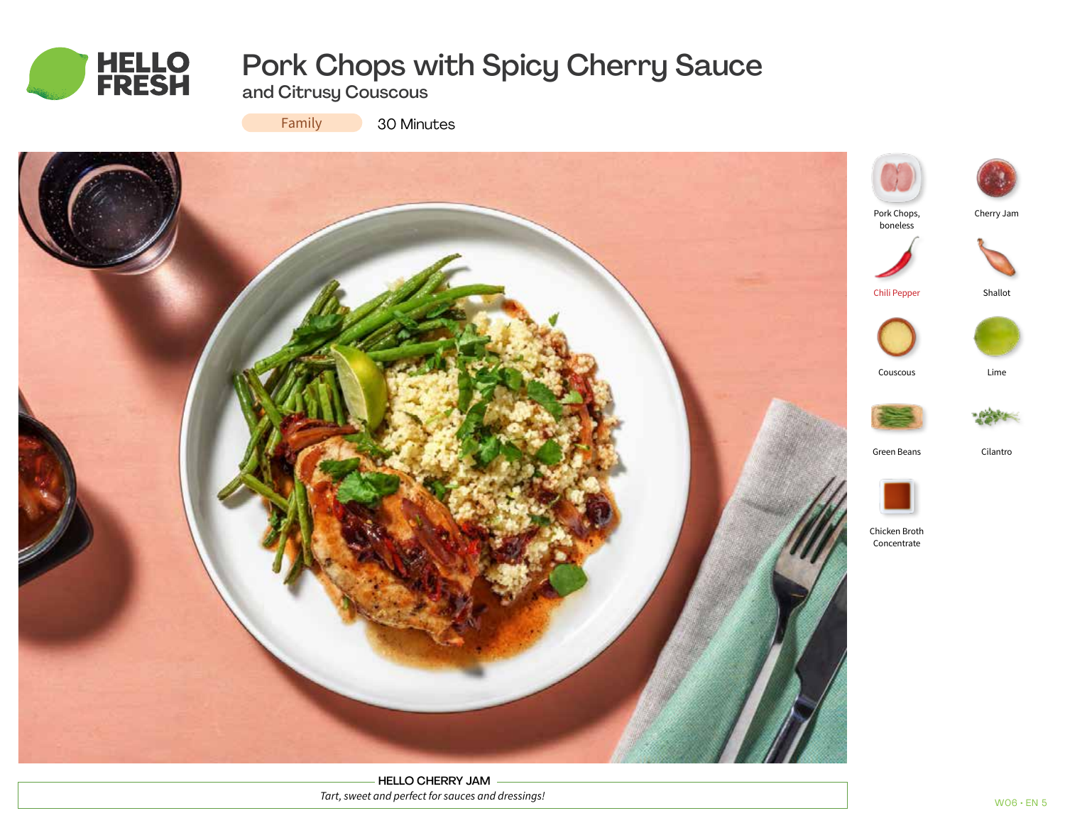

# Pork Chops with Spicy Cherry Sauce

and Citrusy Couscous

Family

30 Minutes



HELLO CHERRY JAM *Tart, sweet and perfect for sauces and dressings!*